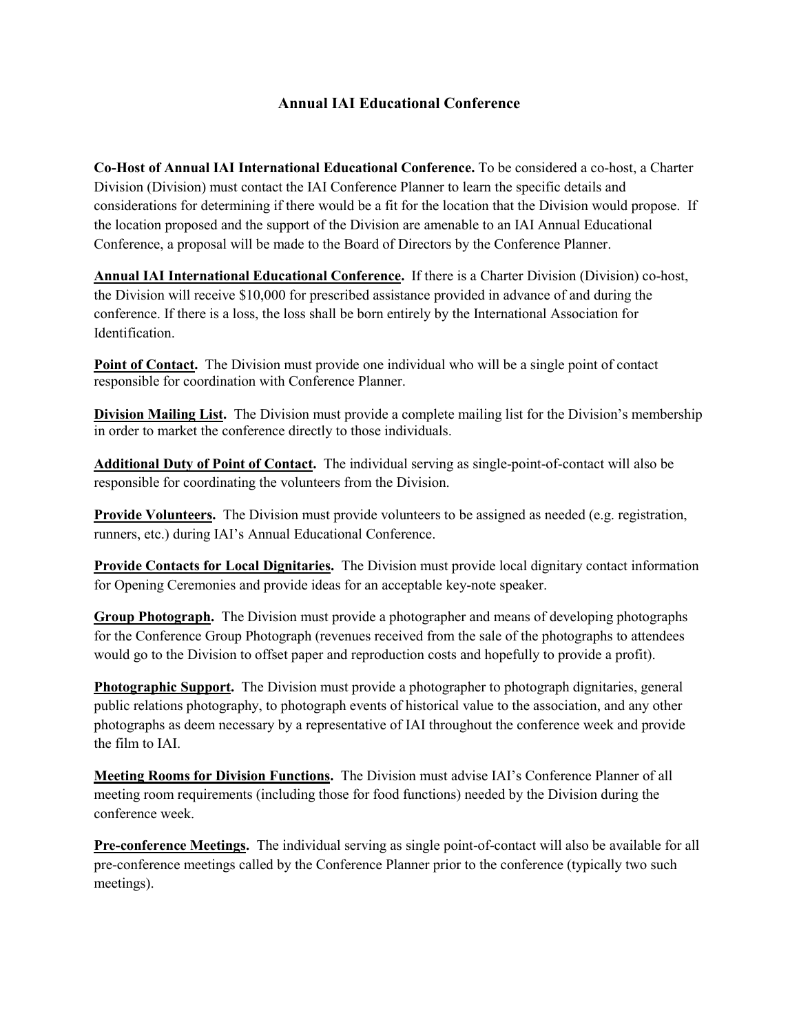## **Annual IAI Educational Conference**

**Co-Host of Annual IAI International Educational Conference.** To be considered a co-host, a Charter Division (Division) must contact the IAI Conference Planner to learn the specific details and considerations for determining if there would be a fit for the location that the Division would propose. If the location proposed and the support of the Division are amenable to an IAI Annual Educational Conference, a proposal will be made to the Board of Directors by the Conference Planner.

**Annual IAI International Educational Conference.** If there is a Charter Division (Division) co-host, the Division will receive \$10,000 for prescribed assistance provided in advance of and during the conference. If there is a loss, the loss shall be born entirely by the International Association for Identification.

**Point of Contact.** The Division must provide one individual who will be a single point of contact responsible for coordination with Conference Planner.

**Division Mailing List.** The Division must provide a complete mailing list for the Division's membership in order to market the conference directly to those individuals.

**Additional Duty of Point of Contact.** The individual serving as single-point-of-contact will also be responsible for coordinating the volunteers from the Division.

**Provide Volunteers.** The Division must provide volunteers to be assigned as needed (e.g. registration, runners, etc.) during IAI's Annual Educational Conference.

**Provide Contacts for Local Dignitaries.** The Division must provide local dignitary contact information for Opening Ceremonies and provide ideas for an acceptable key-note speaker.

**Group Photograph.** The Division must provide a photographer and means of developing photographs for the Conference Group Photograph (revenues received from the sale of the photographs to attendees would go to the Division to offset paper and reproduction costs and hopefully to provide a profit).

**Photographic Support.** The Division must provide a photographer to photograph dignitaries, general public relations photography, to photograph events of historical value to the association, and any other photographs as deem necessary by a representative of IAI throughout the conference week and provide the film to IAI.

**Meeting Rooms for Division Functions.** The Division must advise IAI's Conference Planner of all meeting room requirements (including those for food functions) needed by the Division during the conference week.

**Pre-conference Meetings.** The individual serving as single point-of-contact will also be available for all pre-conference meetings called by the Conference Planner prior to the conference (typically two such meetings).